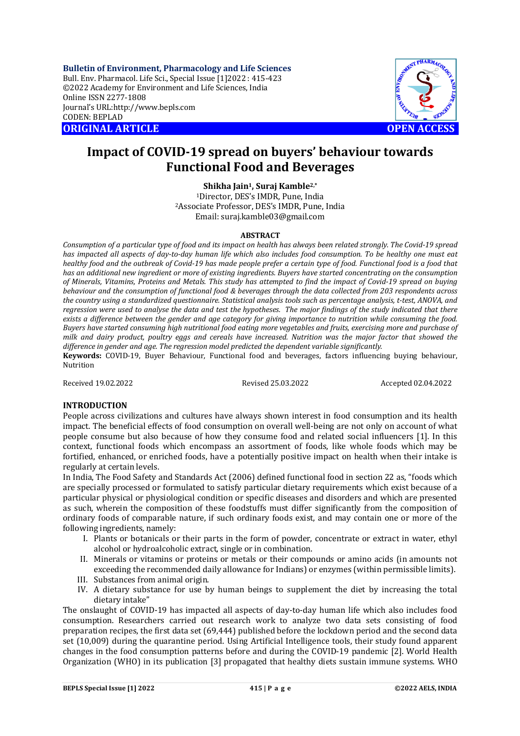**Bulletin of Environment, Pharmacology and Life Sciences** Bull. Env. Pharmacol. Life Sci., Special Issue [1]2022 : 415-423 ©2022 Academy for Environment and Life Sciences, India Online ISSN 2277-1808 Journal's URL:<http://www.bepls.com> CODEN: BEPLAD **ORIGINAL ARTICLE OPEN ACCESS** 



# **Impact of COVID-19 spread on buyers' behaviour towards Functional Food and Beverages**

**Shikha Jain1, Suraj Kamble2,\***

<sup>1</sup>Director, DES's IMDR, Pune, India <sup>2</sup>Associate Professor, DES's IMDR, Pune, India Email: [suraj.kamble03@gmail.com](mailto:suraj.kamble03@gmail.com)

## **ABSTRACT**

*Consumption of a particular type of food and its impact on health has always been related strongly. The Covid-19 spread has impacted all aspects of day-to-day human life which also includes food consumption. To be healthy one must eat healthy food and the outbreak of Covid-19 has made people prefer a certain type of food. Functional food is a food that has an additional new ingredient or more of existing ingredients. Buyers have started concentrating on the consumption of Minerals, Vitamins, Proteins and Metals. This study has attempted to find the impact of Covid-19 spread on buying behaviour and the consumption of functional food & beverages through the data collected from 203 respondents across the country using a standardized questionnaire. Statistical analysis tools such as percentage analysis, t-test, ANOVA, and regression were used to analyse the data and test the hypotheses. The major findings of the study indicated that there exists a difference between the gender and age category for giving importance to nutrition while consuming the food. Buyers have started consuming high nutritional food eating more vegetables and fruits, exercising more and purchase of milk and dairy product, poultry eggs and cereals have increased. Nutrition was the major factor that showed the difference in gender and age. The regression model predicted the dependent variable significantly.*

**Keywords:** COVID-19, Buyer Behaviour, Functional food and beverages, factors influencing buying behaviour, Nutrition

Received 19.02.2022 Revised 25.03.2022 Accepted 02.04.2022

## **INTRODUCTION**

People across civilizations and cultures have always shown interest in food consumption and its health impact. The beneficial effects of food consumption on overall well-being are not only on account of what people consume but also because of how they consume food and related social influencers [1]. In this context, functional foods which encompass an assortment of foods, like whole foods which may be fortified, enhanced, or enriched foods, have a potentially positive impact on health when their intake is regularly at certain levels.

In India, The Food Safety and Standards Act (2006) defined functional food in section 22 as, "foods which are specially processed or formulated to satisfy particular dietary requirements which exist because of a particular physical or physiological condition or specific diseases and disorders and which are presented as such, wherein the composition of these foodstuffs must differ significantly from the composition of ordinary foods of comparable nature, if such ordinary foods exist, and may contain one or more of the following ingredients, namely:

- I. Plants or botanicals or their parts in the form of powder, concentrate or extract in water, ethyl alcohol or hydroalcoholic extract, single or in combination.
- II. Minerals or vitamins or proteins or metals or their compounds or amino acids (in amounts not exceeding the recommended daily allowance for Indians) or enzymes (within permissible limits).
- III. Substances from animal origin.
- IV. A dietary substance for use by human beings to supplement the diet by increasing the total dietary intake"

The onslaught of COVID-19 has impacted all aspects of day-to-day human life which also includes food consumption. Researchers carried out research work to analyze two data sets consisting of food preparation recipes, the first data set (69,444) published before the lockdown period and the second data set (10,009) during the quarantine period. Using Artificial Intelligence tools, their study found apparent changes in the food consumption patterns before and during the COVID-19 pandemic [2]. World Health Organization (WHO) in its publication [3] propagated that healthy diets sustain immune systems. WHO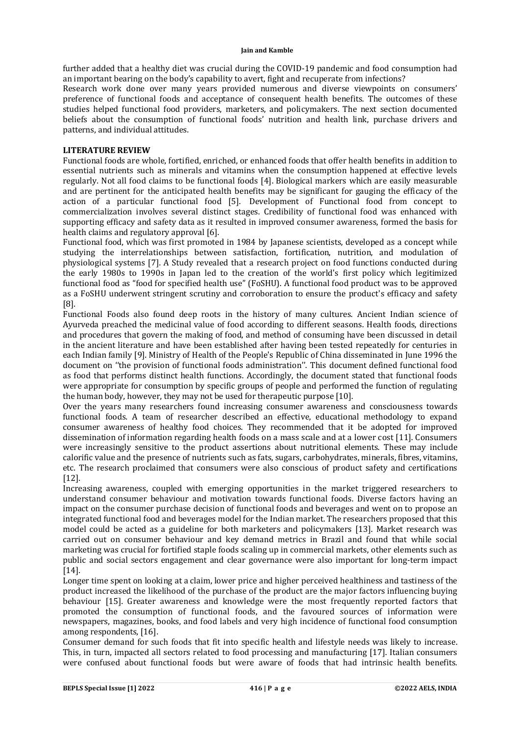further added that a healthy diet was crucial during the COVID-19 pandemic and food consumption had an important bearing on the body's capability to avert, fight and recuperate from infections?

Research work done over many years provided numerous and diverse viewpoints on consumers' preference of functional foods and acceptance of consequent health benefits. The outcomes of these studies helped functional food providers, marketers, and policymakers. The next section documented beliefs about the consumption of functional foods' nutrition and health link, purchase drivers and patterns, and individual attitudes.

# **LITERATURE REVIEW**

Functional foods are whole, fortified, enriched, or enhanced foods that offer health benefits in addition to essential nutrients such as minerals and vitamins when the consumption happened at effective levels regularly. Not all food claims to be functional foods [4]. Biological markers which are easily measurable and are pertinent for the anticipated health benefits may be significant for gauging the efficacy of the action of a particular functional food [5]. Development of Functional food from concept to commercialization involves several distinct stages. Credibility of functional food was enhanced with supporting efficacy and safety data as it resulted in improved consumer awareness, formed the basis for health claims and regulatory approval [6].

Functional food, which was first promoted in 1984 by Japanese scientists, developed as a concept while studying the interrelationships between satisfaction, fortification, nutrition, and modulation of physiological systems [7]. A Study revealed that a research project on food functions conducted during the early 1980s to 1990s in Japan led to the creation of the world's first policy which legitimized functional food as "food for specified health use" (FoSHU). A functional food product was to be approved as a FoSHU underwent stringent scrutiny and corroboration to ensure the product's efficacy and safety [8].

Functional Foods also found deep roots in the history of many cultures. Ancient Indian science of Ayurveda preached the medicinal value of food according to different seasons. Health foods, directions and procedures that govern the making of food, and method of consuming have been discussed in detail in the ancient literature and have been established after having been tested repeatedly for centuries in each Indian family [9]. Ministry of Health of the People's Republic of China disseminated in June 1996 the document on ''the provision of functional foods administration''. This document defined functional food as food that performs distinct health functions. Accordingly, the document stated that functional foods were appropriate for consumption by specific groups of people and performed the function of regulating the human body, however, they may not be used for therapeutic purpose [10].

Over the years many researchers found increasing consumer awareness and consciousness towards functional foods. A team of researcher described an effective, educational methodology to expand consumer awareness of healthy food choices. They recommended that it be adopted for improved dissemination of information regarding health foods on a mass scale and at a lower cost [11]. Consumers were increasingly sensitive to the product assertions about nutritional elements. These may include calorific value and the presence of nutrients such as fats, sugars, carbohydrates, minerals, fibres, vitamins, etc. The research proclaimed that consumers were also conscious of product safety and certifications [12].

Increasing awareness, coupled with emerging opportunities in the market triggered researchers to understand consumer behaviour and motivation towards functional foods. Diverse factors having an impact on the consumer purchase decision of functional foods and beverages and went on to propose an integrated functional food and beverages model for the Indian market. The researchers proposed that this model could be acted as a guideline for both marketers and policymakers [13]. Market research was carried out on consumer behaviour and key demand metrics in Brazil and found that while social marketing was crucial for fortified staple foods scaling up in commercial markets, other elements such as public and social sectors engagement and clear governance were also important for long-term impact [14].

Longer time spent on looking at a claim, lower price and higher perceived healthiness and tastiness of the product increased the likelihood of the purchase of the product are the major factors influencing buying behaviour [15]. Greater awareness and knowledge were the most frequently reported factors that promoted the consumption of functional foods, and the favoured sources of information were newspapers, magazines, books, and food labels and very high incidence of functional food consumption among respondents, [16].

Consumer demand for such foods that fit into specific health and lifestyle needs was likely to increase. This, in turn, impacted all sectors related to food processing and manufacturing [17]. Italian consumers were confused about functional foods but were aware of foods that had intrinsic health benefits.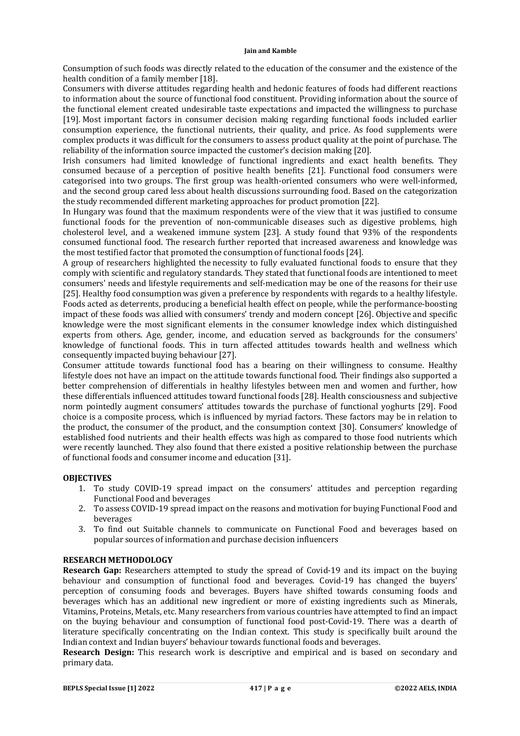Consumption of such foods was directly related to the education of the consumer and the existence of the health condition of a family member [18].

Consumers with diverse attitudes regarding health and hedonic features of foods had different reactions to information about the source of functional food constituent. Providing information about the source of the functional element created undesirable taste expectations and impacted the willingness to purchase [19]. Most important factors in consumer decision making regarding functional foods included earlier consumption experience, the functional nutrients, their quality, and price. As food supplements were complex products it was difficult for the consumers to assess product quality at the point of purchase. The reliability of the information source impacted the customer's decision making [20].

Irish consumers had limited knowledge of functional ingredients and exact health benefits. They consumed because of a perception of positive health benefits [21]. Functional food consumers were categorised into two groups. The first group was health-oriented consumers who were well-informed, and the second group cared less about health discussions surrounding food. Based on the categorization the study recommended different marketing approaches for product promotion [22].

In Hungary was found that the maximum respondents were of the view that it was justified to consume functional foods for the prevention of non-communicable diseases such as digestive problems, high cholesterol level, and a weakened immune system [23]. A study found that 93% of the respondents consumed functional food. The research further reported that increased awareness and knowledge was the most testified factor that promoted the consumption of functional foods [24].

A group of researchers highlighted the necessity to fully evaluated functional foods to ensure that they comply with scientific and regulatory standards. They stated that functional foods are intentioned to meet consumers' needs and lifestyle requirements and self-medication may be one of the reasons for their use [25]. Healthy food consumption was given a preference by respondents with regards to a healthy lifestyle. Foods acted as deterrents, producing a beneficial health effect on people, while the performance-boosting impact of these foods was allied with consumers' trendy and modern concept [26]. Objective and specific knowledge were the most significant elements in the consumer knowledge index which distinguished experts from others. Age, gender, income, and education served as backgrounds for the consumers' knowledge of functional foods. This in turn affected attitudes towards health and wellness which consequently impacted buying behaviour [27].

Consumer attitude towards functional food has a bearing on their willingness to consume. Healthy lifestyle does not have an impact on the attitude towards functional food. Their findings also supported a better comprehension of differentials in healthy lifestyles between men and women and further, how these differentials influenced attitudes toward functional foods [28]. Health consciousness and subjective norm pointedly augment consumers' attitudes towards the purchase of functional yoghurts [29]. Food choice is a composite process, which is influenced by myriad factors. These factors may be in relation to the product, the consumer of the product, and the consumption context [30]. Consumers' knowledge of established food nutrients and their health effects was high as compared to those food nutrients which were recently launched. They also found that there existed a positive relationship between the purchase of functional foods and consumer income and education [31].

## **OBJECTIVES**

- 1. To study COVID-19 spread impact on the consumers' attitudes and perception regarding Functional Food and beverages
- 2. To assess COVID-19 spread impact on the reasons and motivation for buying Functional Food and beverages
- 3. To find out Suitable channels to communicate on Functional Food and beverages based on popular sources of information and purchase decision influencers

# **RESEARCH METHODOLOGY**

**Research Gap:** Researchers attempted to study the spread of Covid-19 and its impact on the buying behaviour and consumption of functional food and beverages. Covid-19 has changed the buyers' perception of consuming foods and beverages. Buyers have shifted towards consuming foods and beverages which has an additional new ingredient or more of existing ingredients such as Minerals, Vitamins, Proteins, Metals, etc. Many researchers from various countries have attempted to find an impact on the buying behaviour and consumption of functional food post-Covid-19. There was a dearth of literature specifically concentrating on the Indian context. This study is specifically built around the Indian context and Indian buyers' behaviour towards functional foods and beverages.

**Research Design:** This research work is descriptive and empirical and is based on secondary and primary data.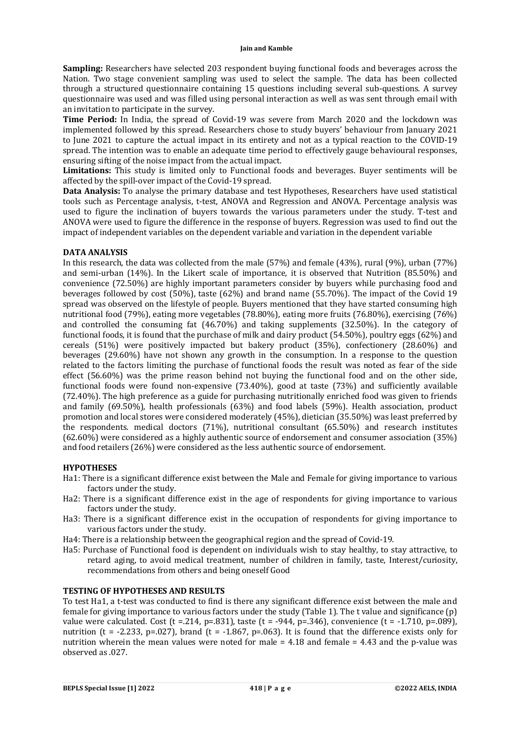**Sampling:** Researchers have selected 203 respondent buying functional foods and beverages across the Nation. Two stage convenient sampling was used to select the sample. The data has been collected through a structured questionnaire containing 15 questions including several sub-questions. A survey questionnaire was used and was filled using personal interaction as well as was sent through email with an invitation to participate in the survey.

**Time Period:** In India, the spread of Covid-19 was severe from March 2020 and the lockdown was implemented followed by this spread. Researchers chose to study buyers' behaviour from January 2021 to June 2021 to capture the actual impact in its entirety and not as a typical reaction to the COVID-19 spread. The intention was to enable an adequate time period to effectively gauge behavioural responses, ensuring sifting of the noise impact from the actual impact.

**Limitations:** This study is limited only to Functional foods and beverages. Buyer sentiments will be affected by the spill-over impact of the Covid-19 spread.

**Data Analysis:** To analyse the primary database and test Hypotheses, Researchers have used statistical tools such as Percentage analysis, t-test, ANOVA and Regression and ANOVA. Percentage analysis was used to figure the inclination of buyers towards the various parameters under the study. T-test and ANOVA were used to figure the difference in the response of buyers. Regression was used to find out the impact of independent variables on the dependent variable and variation in the dependent variable

# **DATA ANALYSIS**

In this research, the data was collected from the male (57%) and female (43%), rural (9%), urban (77%) and semi-urban (14%). In the Likert scale of importance, it is observed that Nutrition (85.50%) and convenience (72.50%) are highly important parameters consider by buyers while purchasing food and beverages followed by cost (50%), taste (62%) and brand name (55.70%). The impact of the Covid 19 spread was observed on the lifestyle of people. Buyers mentioned that they have started consuming high nutritional food (79%), eating more vegetables (78.80%), eating more fruits (76.80%), exercising (76%) and controlled the consuming fat (46.70%) and taking supplements (32.50%). In the category of functional foods, it is found that the purchase of milk and dairy product (54.50%), poultry eggs (62%) and cereals (51%) were positively impacted but bakery product (35%), confectionery (28.60%) and beverages (29.60%) have not shown any growth in the consumption. In a response to the question related to the factors limiting the purchase of functional foods the result was noted as fear of the side effect (56.60%) was the prime reason behind not buying the functional food and on the other side, functional foods were found non-expensive (73.40%), good at taste (73%) and sufficiently available (72.40%). The high preference as a guide for purchasing nutritionally enriched food was given to friends and family (69.50%), health professionals (63%) and food labels (59%). Health association, product promotion and local stores were considered moderately (45%), dietician (35.50%) was least preferred by the respondents. medical doctors (71%), nutritional consultant (65.50%) and research institutes (62.60%) were considered as a highly authentic source of endorsement and consumer association (35%) and food retailers (26%) were considered as the less authentic source of endorsement.

## **HYPOTHESES**

- Ha1: There is a significant difference exist between the Male and Female for giving importance to various factors under the study.
- Ha2: There is a significant difference exist in the age of respondents for giving importance to various factors under the study.
- Ha3: There is a significant difference exist in the occupation of respondents for giving importance to various factors under the study.
- Ha4: There is a relationship between the geographical region and the spread of Covid-19.
- Ha5: Purchase of Functional food is dependent on individuals wish to stay healthy, to stay attractive, to retard aging, to avoid medical treatment, number of children in family, taste, Interest/curiosity, recommendations from others and being oneself Good

## **TESTING OF HYPOTHESES AND RESULTS**

To test Ha1, a t-test was conducted to find is there any significant difference exist between the male and female for giving importance to various factors under the study (Table 1). The t value and significance (p) value were calculated. Cost (t = 214, p=.831), taste (t = -944, p=.346), convenience (t = -1.710, p=.089), nutrition (t = -2.233, p=.027), brand (t = -1.867, p=.063). It is found that the difference exists only for nutrition wherein the mean values were noted for male  $= 4.18$  and female  $= 4.43$  and the p-value was observed as .027.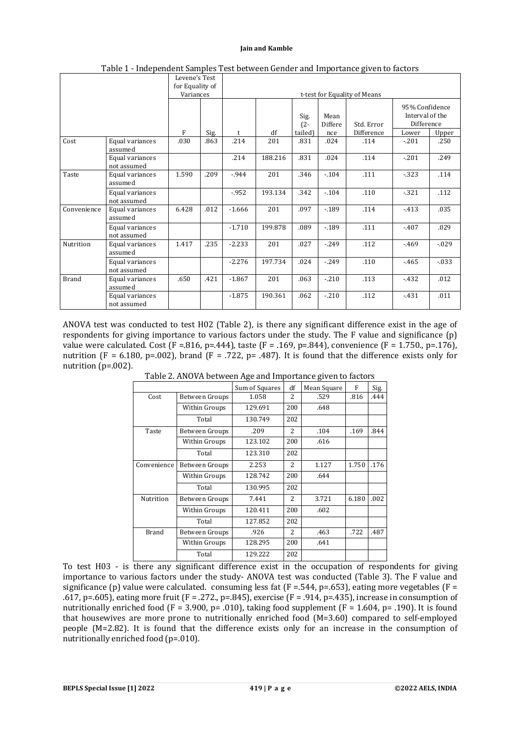|              |                                | Levene's Test<br>for Equality of<br>Variances |      |          |         |                |                 | . .<br>t-test for Equality of Means |                                                 |          |
|--------------|--------------------------------|-----------------------------------------------|------|----------|---------|----------------|-----------------|-------------------------------------|-------------------------------------------------|----------|
|              |                                |                                               |      |          |         | Sig.<br>$(2 -$ | Mean<br>Differe | Std. Error                          | 95% Confidence<br>Interval of the<br>Difference |          |
|              |                                | F                                             | Sig. | t        | df      | tailed)        | nce             | Difference                          | Lower                                           | Upper    |
| Cost         | Equal variances<br>assumed     | .030                                          | .863 | .214     | 201     | .831           | .024            | .114                                | $-.201$                                         | .250     |
|              | Equal variances<br>not assumed |                                               |      | .214     | 188.216 | .831           | .024            | .114                                | $-.201$                                         | .249     |
| Taste        | Equal variances<br>assumed     | 1.590                                         | .209 | $-944$   | 201     | .346           | $-.104$         | .111                                | $-323$                                          | .114     |
|              | Equal variances<br>not assumed |                                               |      | $-952$   | 193.134 | .342           | $-104$          | .110                                | $-321$                                          | .112     |
| Convenience  | Equal variances<br>assumed     | 6.428                                         | .012 | $-1.666$ | 201     | .097           | $-189$          | .114                                | $-413$                                          | .035     |
|              | Equal variances<br>not assumed |                                               |      | $-1.710$ | 199.878 | .089           | $-189$          | .111                                | $-407$                                          | .029     |
| Nutrition    | Equal variances<br>assumed     | 1.417                                         | .235 | $-2.233$ | 201     | .027           | $-249$          | .112                                | $-469$                                          | $-0.029$ |
|              | Equal variances<br>not assumed |                                               |      | $-2.276$ | 197.734 | .024           | $-249$          | .110                                | $-465$                                          | $-0.33$  |
| <b>Brand</b> | Equal variances<br>assumed     | .650                                          | .421 | $-1.867$ | 201     | .063           | $-210$          | .113                                | $-432$                                          | .012     |
|              | Equal variances<br>not assumed |                                               |      | $-1.875$ | 190.361 | .062           | $-.210$         | .112                                | $-431$                                          | .011     |

Table 1 - Independent Samples Test between Gender and Importance given to factors

ANOVA test was conducted to test H02 (Table 2), is there any significant difference exist in the age of respondents for giving importance to various factors under the study. The F value and significance (p) value were calculated. Cost (F = 816, p=.444), taste (F = .169, p=.844), convenience (F = 1.750., p=.176), nutrition (F = 6.180, p=.002), brand (F = .722, p= .487). It is found that the difference exists only for nutrition  $(p=002)$ .

|              |                | Sum of Squares | df             | Mean Square | F     | Sig. |
|--------------|----------------|----------------|----------------|-------------|-------|------|
| Cost         | Between Groups | 1.058          | $\mathcal{L}$  | .529        | .816  | .444 |
|              | Within Groups  | 129.691        | 200            | .648        |       |      |
|              | Total          | 130.749        | 202            |             |       |      |
| Taste        | Between Groups | .209           | $\overline{2}$ | .104        | .169  | .844 |
|              | Within Groups  | 123.102        | 200            | .616        |       |      |
|              | Total          | 123.310        | 202            |             |       |      |
| Convenience  | Between Groups | 2.253          | $\overline{2}$ | 1.127       | 1.750 | .176 |
|              | Within Groups  | 128.742        | 200            | .644        |       |      |
|              | Total          | 130.995        | 202            |             |       |      |
| Nutrition    | Between Groups | 7.441          | $\overline{2}$ | 3.721       | 6.180 | .002 |
|              | Within Groups  | 120.411        | 200            | .602        |       |      |
|              | Total          | 127.852        | 202            |             |       |      |
| <b>Brand</b> | Between Groups | .926           | $\overline{2}$ | .463        | .722  | .487 |
|              | Within Groups  | 128.295        | 200            | .641        |       |      |
|              | Total          | 129.222        | 202            |             |       |      |

Table 2. ANOVA between Age and Importance given to factors

To test H03 - is there any significant difference exist in the occupation of respondents for giving importance to various factors under the study- ANOVA test was conducted (Table 3). The F value and significance (p) value were calculated. consuming less fat (F = .544, p=.653), eating more vegetables (F = .617, p=.605), eating more fruit (F = .272., p=.845), exercise (F = .914, p=.435), increase in consumption of nutritionally enriched food (F = 3.900, p= .010), taking food supplement (F = 1.604, p= .190). It is found that housewives are more prone to nutritionally enriched food  $(M=3.60)$  compared to self-employed people (M=2.82). It is found that the difference exists only for an increase in the consumption of nutritionally enriched food (p=.010).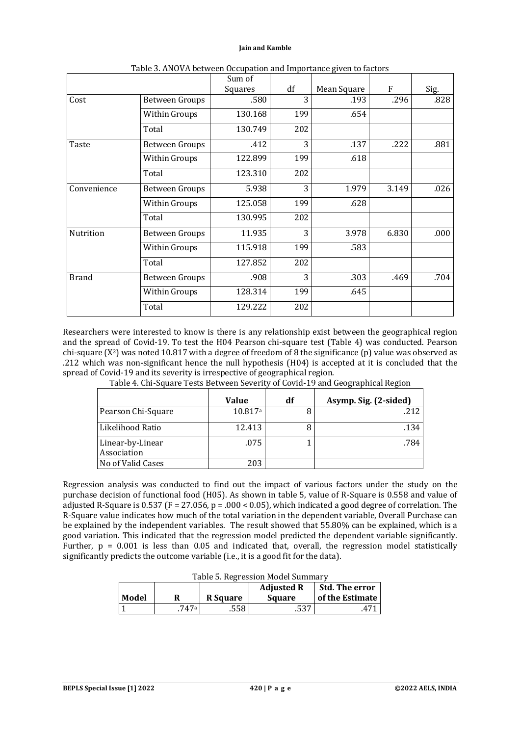|              |                       | Sum of  |     |             |       |      |
|--------------|-----------------------|---------|-----|-------------|-------|------|
|              |                       | Squares | df  | Mean Square | F     | Sig. |
| Cost         | <b>Between Groups</b> | .580    | 3   | .193        | .296  | .828 |
|              | Within Groups         | 130.168 | 199 | .654        |       |      |
|              | Total                 | 130.749 | 202 |             |       |      |
| Taste        | <b>Between Groups</b> | .412    | 3   | .137        | .222  | .881 |
|              | Within Groups         | 122.899 | 199 | .618        |       |      |
|              | Total                 | 123.310 | 202 |             |       |      |
| Convenience  | <b>Between Groups</b> | 5.938   | 3   | 1.979       | 3.149 | .026 |
|              | Within Groups         | 125.058 | 199 | .628        |       |      |
|              | Total                 | 130.995 | 202 |             |       |      |
| Nutrition    | <b>Between Groups</b> | 11.935  | 3   | 3.978       | 6.830 | .000 |
|              | Within Groups         | 115.918 | 199 | .583        |       |      |
|              | Total                 | 127.852 | 202 |             |       |      |
| <b>Brand</b> | Between Groups        | .908    | 3   | .303        | .469  | .704 |
|              | Within Groups         | 128.314 | 199 | .645        |       |      |
|              | Total                 | 129.222 | 202 |             |       |      |

Table 3. ANOVA between Occupation and Importance given to factors

Researchers were interested to know is there is any relationship exist between the geographical region and the spread of Covid-19. To test the H04 Pearson chi-square test (Table 4) was conducted. Pearson chi-square  $(X^2)$  was noted 10.817 with a degree of freedom of 8 the significance (p) value was observed as .212 which was non-significant hence the null hypothesis (H04) is accepted at it is concluded that the spread of Covid-19 and its severity is irrespective of geographical region.

| Table 4. Chi-Square Tests Between Severity of Covid-19 and Geographical Region |  |  |
|--------------------------------------------------------------------------------|--|--|
|                                                                                |  |  |

|                                 | Value   | df | Asymp. Sig. (2-sided) |
|---------------------------------|---------|----|-----------------------|
| Pearson Chi-Square              | 10.817a |    | .212                  |
| Likelihood Ratio                | 12.413  |    | .134                  |
| Linear-by-Linear<br>Association | .075    |    | .784                  |
| No of Valid Cases               | 203     |    |                       |

Regression analysis was conducted to find out the impact of various factors under the study on the purchase decision of functional food (H05). As shown in table 5, value of R-Square is 0.558 and value of adjusted R-Square is 0.537 (F = 27.056, p = .000 < 0.05), which indicated a good degree of correlation. The R-Square value indicates how much of the total variation in the dependent variable, Overall Purchase can be explained by the independent variables. The result showed that 55.80% can be explained, which is a good variation. This indicated that the regression model predicted the dependent variable significantly. Further,  $p = 0.001$  is less than 0.05 and indicated that, overall, the regression model statistically significantly predicts the outcome variable (i.e., it is a good fit for the data).

|  |  | Table 5. Regression Model Summary |  |
|--|--|-----------------------------------|--|
|--|--|-----------------------------------|--|

| Model |        | <b>R</b> Square | <b>Adjusted R</b><br><b>Square</b> | Std. The error<br>of the Estimate |
|-------|--------|-----------------|------------------------------------|-----------------------------------|
|       | 747а г | .558            | ピウワ                                |                                   |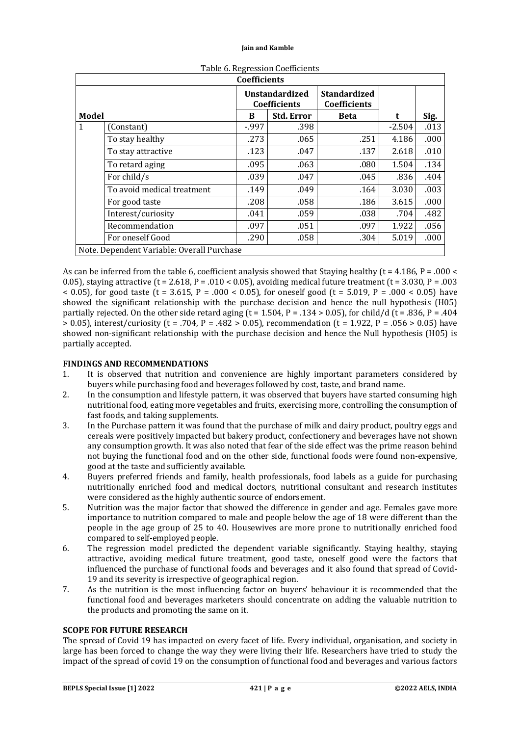|       | <b>Coefficients</b>                        |                                       |                   |                                     |          |      |  |  |
|-------|--------------------------------------------|---------------------------------------|-------------------|-------------------------------------|----------|------|--|--|
|       |                                            | <b>Unstandardized</b><br>Coefficients |                   | <b>Standardized</b><br>Coefficients |          |      |  |  |
| Model |                                            | B                                     | <b>Std. Error</b> | <b>Beta</b>                         |          | Sig. |  |  |
| 1     | (Constant)                                 | $-997$                                | .398              |                                     | $-2.504$ | .013 |  |  |
|       | To stay healthy                            | .273                                  | .065              | .251                                | 4.186    | .000 |  |  |
|       | To stay attractive                         | .123                                  | .047              | .137                                | 2.618    | .010 |  |  |
|       | To retard aging                            | .095                                  | .063              | .080                                | 1.504    | .134 |  |  |
|       | For child/s                                | .039                                  | .047              | .045                                | .836     | .404 |  |  |
|       | To avoid medical treatment                 | .149                                  | .049              | .164                                | 3.030    | .003 |  |  |
|       | For good taste                             | .208                                  | .058              | .186                                | 3.615    | .000 |  |  |
|       | Interest/curiosity                         | .041                                  | .059              | .038                                | .704     | .482 |  |  |
|       | Recommendation                             | .097                                  | .051              | .097                                | 1.922    | .056 |  |  |
|       | For oneself Good                           | .290                                  | .058              | .304                                | 5.019    | .000 |  |  |
|       | Note. Dependent Variable: Overall Purchase |                                       |                   |                                     |          |      |  |  |

Table 6. Regression Coefficients

As can be inferred from the table 6, coefficient analysis showed that Staying healthy ( $t = 4.186$ ,  $P = .000 <$ 0.05), staying attractive (t = 2.618, P = .010 < 0.05), avoiding medical future treatment (t = 3.030, P = .003  $\leq 0.05$ ), for good taste (t = 3.615, P = .000  $\leq 0.05$ ), for oneself good (t = 5.019, P = .000  $\leq 0.05$ ) have showed the significant relationship with the purchase decision and hence the null hypothesis (H05) partially rejected. On the other side retard aging (t = 1.504, P = .134 > 0.05), for child/d (t = .836, P = .404  $> 0.05$ ), interest/curiosity (t = .704, P = .482 > 0.05), recommendation (t = 1.922, P = .056 > 0.05) have showed non-significant relationship with the purchase decision and hence the Null hypothesis (H05) is partially accepted.

# **FINDINGS AND RECOMMENDATIONS**

- 1. It is observed that nutrition and convenience are highly important parameters considered by buyers while purchasing food and beverages followed by cost, taste, and brand name.
- 2. In the consumption and lifestyle pattern, it was observed that buyers have started consuming high nutritional food, eating more vegetables and fruits, exercising more, controlling the consumption of fast foods, and taking supplements.
- 3. In the Purchase pattern it was found that the purchase of milk and dairy product, poultry eggs and cereals were positively impacted but bakery product, confectionery and beverages have not shown any consumption growth. It was also noted that fear of the side effect was the prime reason behind not buying the functional food and on the other side, functional foods were found non-expensive, good at the taste and sufficiently available.
- 4. Buyers preferred friends and family, health professionals, food labels as a guide for purchasing nutritionally enriched food and medical doctors, nutritional consultant and research institutes were considered as the highly authentic source of endorsement.
- 5. Nutrition was the major factor that showed the difference in gender and age. Females gave more importance to nutrition compared to male and people below the age of 18 were different than the people in the age group of 25 to 40. Housewives are more prone to nutritionally enriched food compared to self-employed people.
- 6. The regression model predicted the dependent variable significantly. Staying healthy, staying attractive, avoiding medical future treatment, good taste, oneself good were the factors that influenced the purchase of functional foods and beverages and it also found that spread of Covid-19 and its severity is irrespective of geographical region.
- 7. As the nutrition is the most influencing factor on buyers' behaviour it is recommended that the functional food and beverages marketers should concentrate on adding the valuable nutrition to the products and promoting the same on it.

## **SCOPE FOR FUTURE RESEARCH**

The spread of Covid 19 has impacted on every facet of life. Every individual, organisation, and society in large has been forced to change the way they were living their life. Researchers have tried to study the impact of the spread of covid 19 on the consumption of functional food and beverages and various factors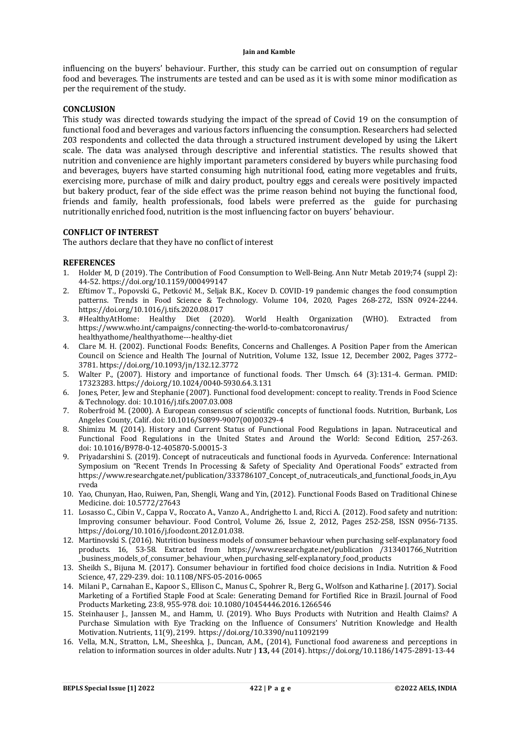influencing on the buyers' behaviour. Further, this study can be carried out on consumption of regular food and beverages. The instruments are tested and can be used as it is with some minor modification as per the requirement of the study.

## **CONCLUSION**

This study was directed towards studying the impact of the spread of Covid 19 on the consumption of functional food and beverages and various factors influencing the consumption. Researchers had selected 203 respondents and collected the data through a structured instrument developed by using the Likert scale. The data was analysed through descriptive and inferential statistics. The results showed that nutrition and convenience are highly important parameters considered by buyers while purchasing food and beverages, buyers have started consuming high nutritional food, eating more vegetables and fruits, exercising more, purchase of milk and dairy product, poultry eggs and cereals were positively impacted but bakery product, fear of the side effect was the prime reason behind not buying the functional food, friends and family, health professionals, food labels were preferred as the guide for purchasing nutritionally enriched food, nutrition is the most influencing factor on buyers' behaviour.

## **CONFLICT OF INTEREST**

The authors declare that they have no conflict of interest

## **REFERENCES**

- 1. Holder M, D (2019). The Contribution of Food Consumption to Well-Being. Ann Nutr Metab 2019;74 (suppl 2): 44-52. <https://doi.org/10.1159/000499147>
- 2. Eftimov T., Popovski G., Petković M., Seljak B.K., Kocev D. COVID-19 pandemic changes the food consumption patterns. Trends in Food Science & Technology. Volume 104, 2020, Pages 268-272, ISSN 0924-2244. <https://doi.org/10.1016/j.tifs.2020.08.017>
- 3. #HealthyAtHome: Healthy Diet (2020). World Health Organization (WHO). Extracted from <https://www.who.int/campaigns/connecting-the-world-to-combatcoronavirus/> healthyathome/healthyathome---healthy-diet
- 4. Clare M. H. (2002). Functional Foods: Benefits, Concerns and Challenges. A Position Paper from the American Council on Science and Health The Journal of Nutrition, Volume 132, Issue 12, December 2002, Pages 3772– 3781.<https://doi.org/10.1093/jn/132.12.3772>
- 5. Walter P., (2007). History and importance of functional foods. Ther Umsch. 64 (3):131-4. German. PMID: 17323283.<https://doi.org/10.1024/0040-5930.64.3.131>
- 6. Jones, Peter, Jew and Stephanie (2007). Functional food development: concept to reality. Trends in Food Science & Technology. doi: 10.1016/j.tifs.2007.03.008
- 7. Roberfroid M. (2000). A European consensus of scientific concepts of functional foods. Nutrition, Burbank, Los Angeles County, Calif. doi: 10.1016/S0899-9007(00)00329-4
- 8. Shimizu M. (2014). History and Current Status of Functional Food Regulations in Japan. Nutraceutical and Functional Food Regulations in the United States and Around the World: Second Edition, 257-263. doi: 10.1016/B978-0-12-405870-5.00015-3
- 9. Priyadarshini S. (2019). Concept of nutraceuticals and functional foods in Ayurveda. Conference: International Symposium on "Recent Trends In Processing & Safety of Speciality And Operational Foods" extracted from [https://www.researchgate.net/publication/333786107\\_Concept\\_of\\_nutraceuticals\\_and\\_functional\\_foods\\_in\\_Ayu](https://www.researchgate.net/publication/333786107_Concept_of_nutraceuticals_and_functional_foods_in_Ayu) rveda
- 10. Yao, Chunyan, Hao, Ruiwen, Pan, Shengli, Wang and Yin, (2012). Functional Foods Based on Traditional Chinese Medicine. doi: 10.5772/27643
- 11. Losasso C., Cibin V., Cappa V., Roccato A., Vanzo A., Andrighetto I. and, Ricci A. (2012). Food safety and nutrition: Improving consumer behaviour. Food Control, Volume 26, Issue 2, 2012, Pages 252-258, ISSN 0956-7135. <https://doi.org/10.1016/j.foodcont.2012.01.038.>
- 12. Martinovski S. (2016). Nutrition business models of consumer behaviour when purchasing self-explanatory food products. 16, 53-58. Extracted from <https://www.researchgate.net/publication> /313401766\_Nutrition \_business\_models\_of\_consumer\_behaviour\_when\_purchasing\_self-explanatory\_food\_products
- 13. Sheikh S., Bijuna M. (2017). Consumer behaviour in fortified food choice decisions in India. Nutrition & Food Science, 47, 229-239. doi: 10.1108/NFS-05-2016-0065
- 14. Milani P., Carnahan E., Kapoor S., Ellison C., Manus C., Spohrer R., Berg G., Wolfson and Katharine J. (2017). Social Marketing of a Fortified Staple Food at Scale: Generating Demand for Fortified Rice in Brazil. Journal of Food Products Marketing, 23:8, 955-978. doi: 10.1080/10454446.2016.1266546
- 15. Steinhauser J., Janssen M., and Hamm, U. (2019). Who Buys Products with Nutrition and Health Claims? A Purchase Simulation with Eye Tracking on the Influence of Consumers' Nutrition Knowledge and Health Motivation. Nutrients, 11(9), 2199. <https://doi.org/10.3390/nu11092199>
- 16. Vella, M.N., Stratton, L.M., Sheeshka, J., Duncan, A.M., (2014), Functional food awareness and perceptions in relation to information sources in older adults. Nutr J **13,** 44 (2014).<https://doi.org/10.1186/1475-2891-13-44>